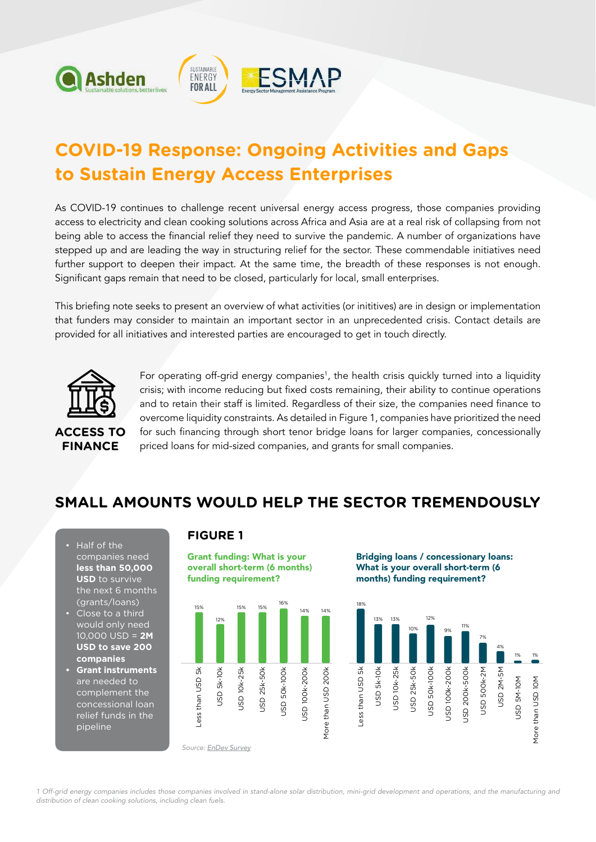

# **COVID-19 Response: Ongoing Activities and Gaps to Sustain Energy Access Enterprises**

As COVID-19 continues to challenge recent universal energy access progress, those companies providing access to electricity and clean cooking solutions across Africa and Asia are at a real risk of collapsing from not being able to access the financial relief they need to survive the pandemic. A number of organizations have stepped up and are leading the way in structuring relief for the sector. These commendable initiatives need further support to deepen their impact. At the same time, the breadth of these responses is not enough. Significant gaps remain that need to be closed, particularly for local, small enterprises.

This briefing note seeks to present an overview of what activities (or inititives) are in design or implementation that funders may consider to maintain an important sector in an unprecedented crisis. Contact details are provided for all initiatives and interested parties are encouraged to get in touch directly.



For operating off-grid energy companies<sup>1</sup>, the health crisis quickly turned into a liquidity crisis; with income reducing but fixed costs remaining, their ability to continue operations and to retain their staff is limited. Regardless of their size, the companies need finance to overcome liquidity constraints. As detailed in Figure 1, companies have prioritized the need for such financing through short tenor bridge loans for larger companies, concessionally priced loans for mid-sized companies, and grants for small companies.

# **SMALL AMOUNTS WOULD HELP THE SECTOR TREMENDOUSLY**

- Half of the companies need **less than 50,000 USD** to survive the next 6 months (grants/loans)
- Close to a third would only need 10,000 USD = **2M USD to save 200 companies**
- **Grant instruments** are needed to complement the concessional loan relief funds in the pipeline

#### **FIGURE 1**

Grant funding: What is your overall short-term (6 months) funding requirement?



Bridging loans / concessionary loans: What is your overall short-term (6 months) funding requirement?



1 Off-grid energy companies includes those companies involved in stand-alone solar distribution, mini-grid development and operations, and the manufacturing and distribution of clean cooking solutions, including clean fuels.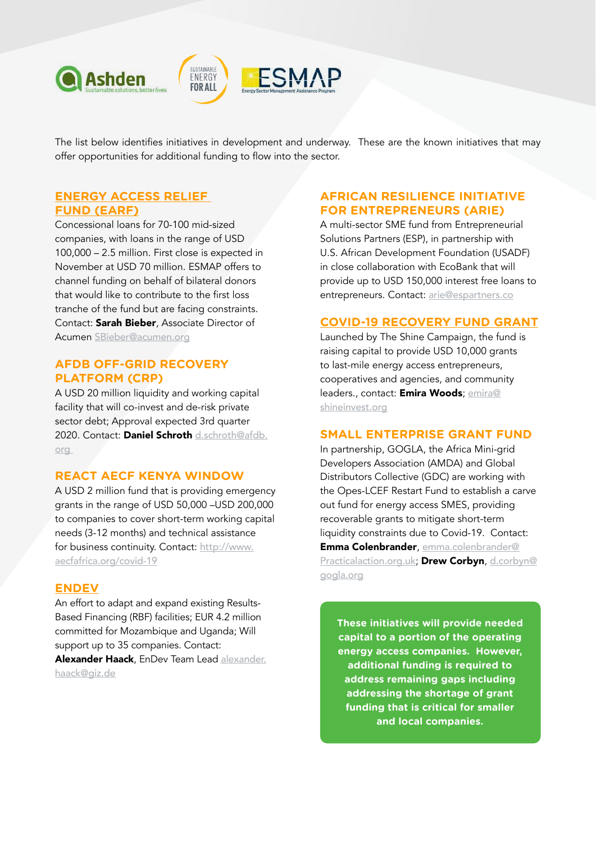

The list below identifies initiatives in development and underway. These are the known initiatives that may offer opportunities for additional funding to flow into the sector.

#### **[ENERGY ACCESS RELIEF](https://www.energyaccessrelief.org/)  [FUND \(EARF\)](https://www.energyaccessrelief.org/)**

Concessional loans for 70-100 mid-sized companies, with loans in the range of USD 100,000 – 2.5 million. First close is expected in November at USD 70 million. ESMAP offers to channel funding on behalf of bilateral donors that would like to contribute to the first loss tranche of the fund but are facing constraints. Contact: Sarah Bieber, Associate Director of Acumen [SBieber@acumen.org](mailto:SBieber@acumen.org)

#### **AFDB OFF-GRID RECOVERY PLATFORM (CRP)**

A USD 20 million liquidity and working capital facility that will co-invest and de-risk private sector debt; Approval expected 3rd quarter 2020. Contact: Daniel Schroth [d.schroth@afdb.](mailto:d.schroth@afdb.org ) [org](mailto:d.schroth@afdb.org ) 

#### **REACT AECF KENYA WINDOW**

A USD 2 million fund that is providing emergency grants in the range of USD 50,000 –USD 200,000 to companies to cover short-term working capital needs (3-12 months) and technical assistance for business continuity. Contact: [http://www.](http://www.aecfafrica.org/covid-19) [aecfafrica.org/covid-19](http://www.aecfafrica.org/covid-19)

#### **[ENDEV](https://endev.info/content/Main_Page)**

An effort to adapt and expand existing Results-Based Financing (RBF) facilities; EUR 4.2 million committed for Mozambique and Uganda; Will support up to 35 companies. Contact:

Alexander Haack, EnDev Team Lead [alexander.](mailto:alexander.haack@giz.de  ) [haack@giz.de](mailto:alexander.haack@giz.de  )

#### **AFRICAN RESILIENCE INITIATIVE FOR ENTREPRENEURS (ARIE)**

A multi-sector SME fund from Entrepreneurial Solutions Partners (ESP), in partnership with U.S. African Development Foundation (USADF) in close collaboration with EcoBank that will provide up to USD 150,000 interest free loans to entrepreneurs. Contact: [arie@espartners.co](mailto:arie@espartners.co ) 

#### **[COVID-19 RECOVERY FUND GRANT](http://www.shineinvest.org/covid-19/)**

Launched by The Shine Campaign, the fund is raising capital to provide USD 10,000 grants to last-mile energy access entrepreneurs, cooperatives and agencies, and community leaders., contact: Emira Woods; [emira@](mailto:emira@shineinvest.org ) [shineinvest.org](mailto:emira@shineinvest.org )

#### **SMALL ENTERPRISE GRANT FUND**

In partnership, GOGLA, the Africa Mini-grid Developers Association (AMDA) and Global Distributors Collective (GDC) are working with the Opes-LCEF Restart Fund to establish a carve out fund for energy access SMES, providing recoverable grants to mitigate short-term liquidity constraints due to Covid-19. Contact: Emma Colenbrander, emma.colenbrander@ Practicalaction.org.uk; Drew Corbyn, d.corbyn@ gogla.org

**These initiatives will provide needed capital to a portion of the operating energy access companies. However, additional funding is required to address remaining gaps including addressing the shortage of grant funding that is critical for smaller and local companies.**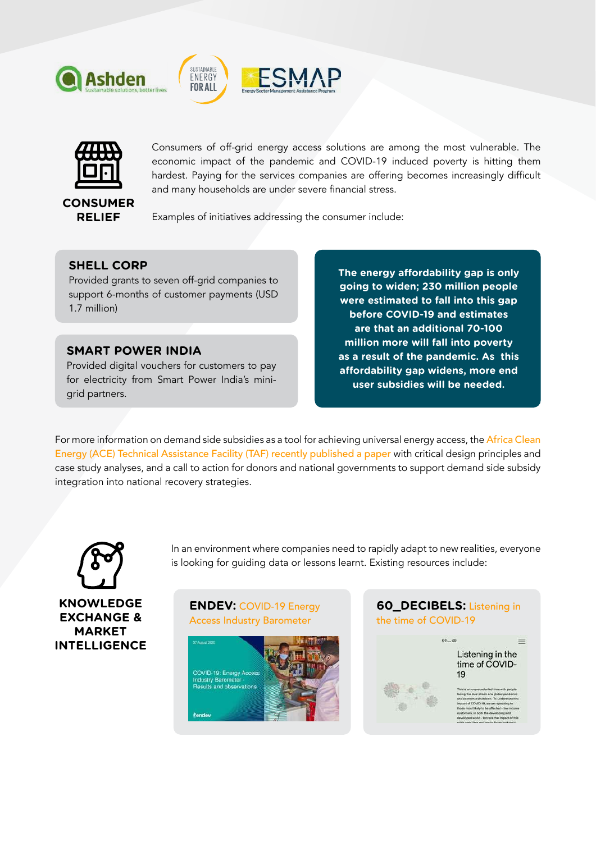





Consumers of off-grid energy access solutions are among the most vulnerable. The economic impact of the pandemic and COVID-19 induced poverty is hitting them hardest. Paying for the services companies are offering becomes increasingly difficult and many households are under severe financial stress.

## **CONSUMER RELIEF**

Examples of initiatives addressing the consumer include:

### **[SHELL CORP](https://www.shell.com/covid19/shell-contributes-to-support-access-to-energy.html)**

Provided grants to seven off-grid companies to support 6-months of customer payments (USD 1.7 million)

# **[SMART POWER INDIA](https://smartpowerindia.org/)**

Provided digital vouchers for customers to pay for electricity from Smart Power India's minigrid partners.

**The energy affordability gap is only going to widen; 230 million people were estimated to fall into this gap before COVID-19 and estimates are that an additional 70-100 million more will fall into poverty as a result of the pandemic. As this affordability gap widens, more end user subsidies will be needed.** 

For more information on demand side subsidies as a tool for achieving universal energy access, the [Africa Clean](https://www.ace-taf.org/wp-content/uploads/2020/09/Demand-Side-Subsidies-in-Off-Grid-Solar-A-Tool-for-Achieving-Universal-Energy-Access-and-Sustainable-Markets.pdf) [Energy \(ACE\) Technical Assistance Facility \(TAF\) recently published a paper](https://www.ace-taf.org/wp-content/uploads/2020/09/Demand-Side-Subsidies-in-Off-Grid-Solar-A-Tool-for-Achieving-Universal-Energy-Access-and-Sustainable-Markets.pdf) with critical design principles and case study analyses, and a call to action for donors and national governments to support demand side subsidy integration into national recovery strategies.



**KNOWLEDGE EXCHANGE & MARKET INTELLIGENCE**

In an environment where companies need to rapidly adapt to new realities, everyone is looking for guiding data or lessons learnt. Existing resources include:

#### **ENDEV:** [COVID-19 Energy](https://endev.info/content/COVID-19_Energy_Access_Industry_Barometer_-_Presentation_of_results_in_a_webinar_hosted_by_EnDev)  [Access Industry Barometer](https://endev.info/content/COVID-19_Energy_Access_Industry_Barometer_-_Presentation_of_results_in_a_webinar_hosted_by_EnDev)



### **60\_DECIBELS:** [Listening in](https://app.60decibels.com/covid-19)  [the time of COVID-19](https://app.60decibels.com/covid-19)